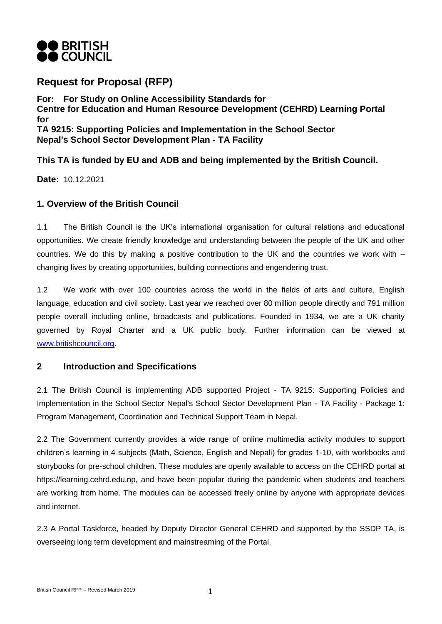

# **Request for Proposal (RFP)**

**For: For Study on Online Accessibility Standards for Centre for Education and Human Resource Development (CEHRD) Learning Portal for TA 9215: Supporting Policies and Implementation in the School Sector Nepal's School Sector Development Plan - TA Facility**

**This TA is funded by EU and ADB and being implemented by the British Council.**

**Date:** 10.12.2021

## **1. Overview of the British Council**

1.1 The British Council is the UK's international organisation for cultural relations and educational opportunities. We create friendly knowledge and understanding between the people of the UK and other countries. We do this by making a positive contribution to the UK and the countries we work with – changing lives by creating opportunities, building connections and engendering trust.

1.2 We work with over 100 countries across the world in the fields of arts and culture, English language, education and civil society. Last year we reached over 80 million people directly and 791 million people overall including online, broadcasts and publications. Founded in 1934, we are a UK charity governed by Royal Charter and a UK public body. Further information can be viewed at [www.britishcouncil.org.](http://www.britishcouncil.org/)

## **2 Introduction and Specifications**

2.1 The British Council is implementing ADB supported Project - TA 9215: Supporting Policies and Implementation in the School Sector Nepal's School Sector Development Plan - TA Facility - Package 1: Program Management, Coordination and Technical Support Team in Nepal.

2.2 The Government currently provides a wide range of online multimedia activity modules to support children's learning in 4 subjects (Math, Science, English and Nepali) for grades 1-10, with workbooks and storybooks for pre-school children. These modules are openly available to access on the CEHRD portal at https://learning.cehrd.edu.np, and have been popular during the pandemic when students and teachers are working from home. The modules can be accessed freely online by anyone with appropriate devices and internet.

2.3 A Portal Taskforce, headed by Deputy Director General CEHRD and supported by the SSDP TA, is overseeing long term development and mainstreaming of the Portal.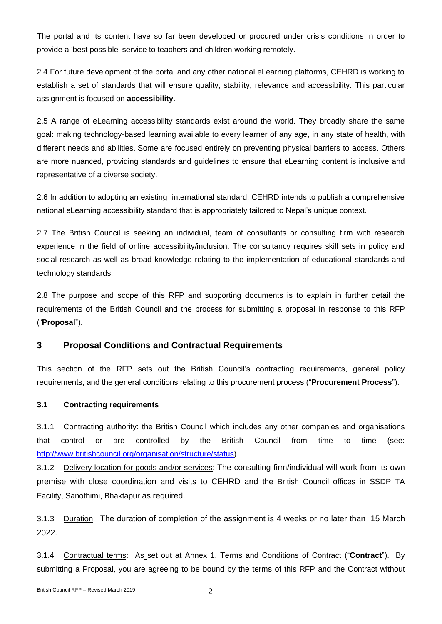The portal and its content have so far been developed or procured under crisis conditions in order to provide a 'best possible' service to teachers and children working remotely.

2.4 For future development of the portal and any other national eLearning platforms, CEHRD is working to establish a set of standards that will ensure quality, stability, relevance and accessibility. This particular assignment is focused on **accessibility**.

2.5 A range of eLearning accessibility standards exist around the world. They broadly share the same goal: making technology-based learning available to every learner of any age, in any state of health, with different needs and abilities. Some are focused entirely on preventing physical barriers to access. Others are more nuanced, providing standards and guidelines to ensure that eLearning content is inclusive and representative of a diverse society.

2.6 In addition to adopting an existing international standard, CEHRD intends to publish a comprehensive national eLearning accessibility standard that is appropriately tailored to Nepal's unique context.

2.7 The British Council is seeking an individual, team of consultants or consulting firm with research experience in the field of online accessibility/inclusion. The consultancy requires skill sets in policy and social research as well as broad knowledge relating to the implementation of educational standards and technology standards.

2.8 The purpose and scope of this RFP and supporting documents is to explain in further detail the requirements of the British Council and the process for submitting a proposal in response to this RFP ("**Proposal**").

## **3 Proposal Conditions and Contractual Requirements**

This section of the RFP sets out the British Council's contracting requirements, general policy requirements, and the general conditions relating to this procurement process ("**Procurement Process**").

#### **3.1 Contracting requirements**

3.1.1 Contracting authority: the British Council which includes any other companies and organisations that control or are controlled by the British Council from time to time (see: [http://www.britishcouncil.org/organisation/structure/status\)](http://www.britishcouncil.org/organisation/structure/status).

3.1.2 Delivery location for goods and/or services: The consulting firm/individual will work from its own premise with close coordination and visits to CEHRD and the British Council offices in SSDP TA Facility, Sanothimi, Bhaktapur as required.

3.1.3 Duration: The duration of completion of the assignment is 4 weeks or no later than 15 March 2022.

3.1.4 Contractual terms: As set out at Annex 1, Terms and Conditions of Contract ("**Contract**"). By submitting a Proposal, you are agreeing to be bound by the terms of this RFP and the Contract without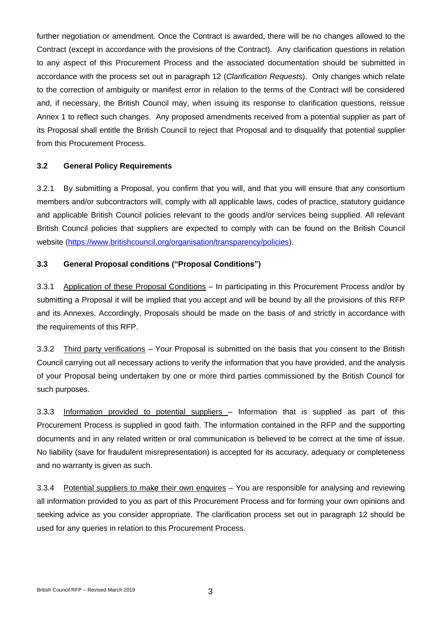further negotiation or amendment. Once the Contract is awarded, there will be no changes allowed to the Contract (except in accordance with the provisions of the Contract). Any clarification questions in relation to any aspect of this Procurement Process and the associated documentation should be submitted in accordance with the process set out in paragraph 12 (*Clarification Requests*). Only changes which relate to the correction of ambiguity or manifest error in relation to the terms of the Contract will be considered and, if necessary, the British Council may, when issuing its response to clarification questions, reissue Annex 1 to reflect such changes. Any proposed amendments received from a potential supplier as part of its Proposal shall entitle the British Council to reject that Proposal and to disqualify that potential supplier from this Procurement Process.

#### **3.2 General Policy Requirements**

3.2.1 By submitting a Proposal, you confirm that you will, and that you will ensure that any consortium members and/or subcontractors will, comply with all applicable laws, codes of practice, statutory guidance and applicable British Council policies relevant to the goods and/or services being supplied. All relevant British Council policies that suppliers are expected to comply with can be found on the British Council website [\(https://www.britishcouncil.org/organisation/transparency/policies\)](https://www.britishcouncil.org/organisation/transparency/policies).

#### **3.3 General Proposal conditions ("Proposal Conditions")**

3.3.1 Application of these Proposal Conditions – In participating in this Procurement Process and/or by submitting a Proposal it will be implied that you accept and will be bound by all the provisions of this RFP and its Annexes. Accordingly, Proposals should be made on the basis of and strictly in accordance with the requirements of this RFP.

3.3.2 Third party verifications – Your Proposal is submitted on the basis that you consent to the British Council carrying out all necessary actions to verify the information that you have provided, and the analysis of your Proposal being undertaken by one or more third parties commissioned by the British Council for such purposes.

3.3.3 Information provided to potential suppliers - Information that is supplied as part of this Procurement Process is supplied in good faith. The information contained in the RFP and the supporting documents and in any related written or oral communication is believed to be correct at the time of issue. No liability (save for fraudulent misrepresentation) is accepted for its accuracy, adequacy or completeness and no warranty is given as such.

3.3.4 Potential suppliers to make their own enquires – You are responsible for analysing and reviewing all information provided to you as part of this Procurement Process and for forming your own opinions and seeking advice as you consider appropriate. The clarification process set out in paragraph 12 should be used for any queries in relation to this Procurement Process.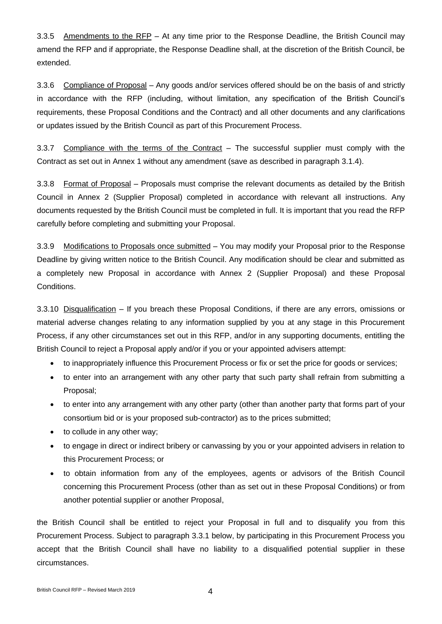3.3.5 Amendments to the RFP – At any time prior to the Response Deadline, the British Council may amend the RFP and if appropriate, the Response Deadline shall, at the discretion of the British Council, be extended.

3.3.6 Compliance of Proposal – Any goods and/or services offered should be on the basis of and strictly in accordance with the RFP (including, without limitation, any specification of the British Council's requirements, these Proposal Conditions and the Contract) and all other documents and any clarifications or updates issued by the British Council as part of this Procurement Process.

3.3.7 Compliance with the terms of the Contract – The successful supplier must comply with the Contract as set out in Annex 1 without any amendment (save as described in paragraph 3.1.4).

3.3.8 Format of Proposal – Proposals must comprise the relevant documents as detailed by the British Council in Annex 2 (Supplier Proposal) completed in accordance with relevant all instructions. Any documents requested by the British Council must be completed in full. It is important that you read the RFP carefully before completing and submitting your Proposal.

3.3.9 Modifications to Proposals once submitted – You may modify your Proposal prior to the Response Deadline by giving written notice to the British Council. Any modification should be clear and submitted as a completely new Proposal in accordance with Annex 2 (Supplier Proposal) and these Proposal Conditions.

3.3.10 Disqualification – If you breach these Proposal Conditions, if there are any errors, omissions or material adverse changes relating to any information supplied by you at any stage in this Procurement Process, if any other circumstances set out in this RFP, and/or in any supporting documents, entitling the British Council to reject a Proposal apply and/or if you or your appointed advisers attempt:

- to inappropriately influence this Procurement Process or fix or set the price for goods or services;
- to enter into an arrangement with any other party that such party shall refrain from submitting a Proposal;
- to enter into any arrangement with any other party (other than another party that forms part of your consortium bid or is your proposed sub-contractor) as to the prices submitted;
- to collude in any other way;
- to engage in direct or indirect bribery or canvassing by you or your appointed advisers in relation to this Procurement Process; or
- to obtain information from any of the employees, agents or advisors of the British Council concerning this Procurement Process (other than as set out in these Proposal Conditions) or from another potential supplier or another Proposal,

the British Council shall be entitled to reject your Proposal in full and to disqualify you from this Procurement Process. Subject to paragraph 3.3.1 below, by participating in this Procurement Process you accept that the British Council shall have no liability to a disqualified potential supplier in these circumstances.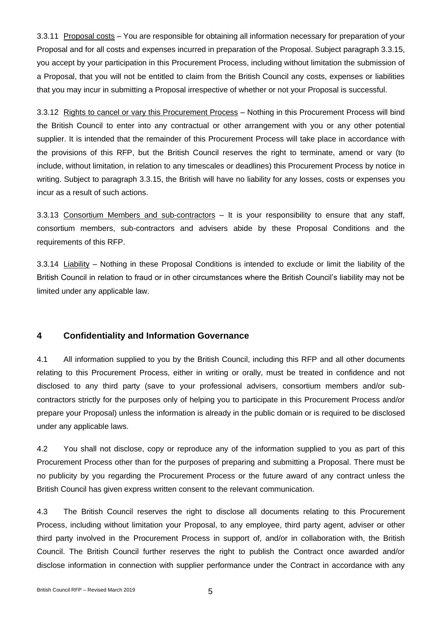3.3.11 Proposal costs – You are responsible for obtaining all information necessary for preparation of your Proposal and for all costs and expenses incurred in preparation of the Proposal. Subject paragraph 3.3.15, you accept by your participation in this Procurement Process, including without limitation the submission of a Proposal, that you will not be entitled to claim from the British Council any costs, expenses or liabilities that you may incur in submitting a Proposal irrespective of whether or not your Proposal is successful.

3.3.12 Rights to cancel or vary this Procurement Process - Nothing in this Procurement Process will bind the British Council to enter into any contractual or other arrangement with you or any other potential supplier. It is intended that the remainder of this Procurement Process will take place in accordance with the provisions of this RFP, but the British Council reserves the right to terminate, amend or vary (to include, without limitation, in relation to any timescales or deadlines) this Procurement Process by notice in writing. Subject to paragraph 3.3.15, the British will have no liability for any losses, costs or expenses you incur as a result of such actions.

3.3.13 Consortium Members and sub-contractors – It is your responsibility to ensure that any staff, consortium members, sub-contractors and advisers abide by these Proposal Conditions and the requirements of this RFP.

3.3.14 Liability – Nothing in these Proposal Conditions is intended to exclude or limit the liability of the British Council in relation to fraud or in other circumstances where the British Council's liability may not be limited under any applicable law.

## **4 Confidentiality and Information Governance**

4.1 All information supplied to you by the British Council, including this RFP and all other documents relating to this Procurement Process, either in writing or orally, must be treated in confidence and not disclosed to any third party (save to your professional advisers, consortium members and/or subcontractors strictly for the purposes only of helping you to participate in this Procurement Process and/or prepare your Proposal) unless the information is already in the public domain or is required to be disclosed under any applicable laws.

4.2 You shall not disclose, copy or reproduce any of the information supplied to you as part of this Procurement Process other than for the purposes of preparing and submitting a Proposal. There must be no publicity by you regarding the Procurement Process or the future award of any contract unless the British Council has given express written consent to the relevant communication.

4.3 The British Council reserves the right to disclose all documents relating to this Procurement Process, including without limitation your Proposal, to any employee, third party agent, adviser or other third party involved in the Procurement Process in support of, and/or in collaboration with, the British Council. The British Council further reserves the right to publish the Contract once awarded and/or disclose information in connection with supplier performance under the Contract in accordance with any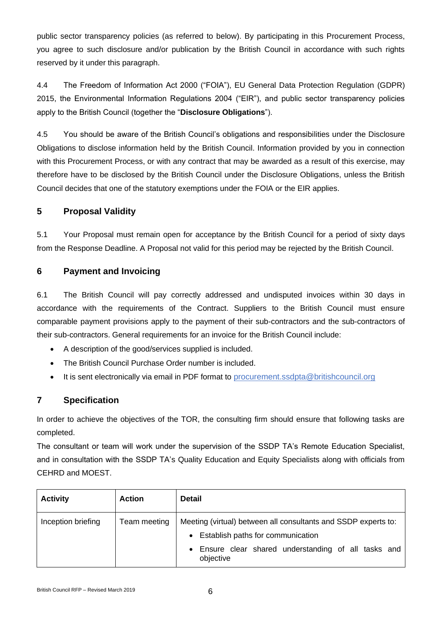public sector transparency policies (as referred to below). By participating in this Procurement Process, you agree to such disclosure and/or publication by the British Council in accordance with such rights reserved by it under this paragraph.

4.4 The Freedom of Information Act 2000 ("FOIA"), EU General Data Protection Regulation (GDPR) 2015, the Environmental Information Regulations 2004 ("EIR"), and public sector transparency policies apply to the British Council (together the "**Disclosure Obligations**").

4.5 You should be aware of the British Council's obligations and responsibilities under the Disclosure Obligations to disclose information held by the British Council. Information provided by you in connection with this Procurement Process, or with any contract that may be awarded as a result of this exercise, may therefore have to be disclosed by the British Council under the Disclosure Obligations, unless the British Council decides that one of the statutory exemptions under the FOIA or the EIR applies.

## **5 Proposal Validity**

5.1 Your Proposal must remain open for acceptance by the British Council for a period of sixty days from the Response Deadline. A Proposal not valid for this period may be rejected by the British Council.

## **6 Payment and Invoicing**

6.1 The British Council will pay correctly addressed and undisputed invoices within 30 days in accordance with the requirements of the Contract. Suppliers to the British Council must ensure comparable payment provisions apply to the payment of their sub-contractors and the sub-contractors of their sub-contractors. General requirements for an invoice for the British Council include:

- A description of the good/services supplied is included.
- The British Council Purchase Order number is included.
- It is sent electronically via email in PDF format to procurement.ssdpta@britishcouncil.org

## **7 Specification**

In order to achieve the objectives of the TOR, the consulting firm should ensure that following tasks are completed.

The consultant or team will work under the supervision of the SSDP TA's Remote Education Specialist, and in consultation with the SSDP TA's Quality Education and Equity Specialists along with officials from CEHRD and MOEST.

| <b>Activity</b>    | <b>Action</b> | <b>Detail</b>                                                                                                                                                              |
|--------------------|---------------|----------------------------------------------------------------------------------------------------------------------------------------------------------------------------|
| Inception briefing | Team meeting  | Meeting (virtual) between all consultants and SSDP experts to:<br>• Establish paths for communication<br>• Ensure clear shared understanding of all tasks and<br>objective |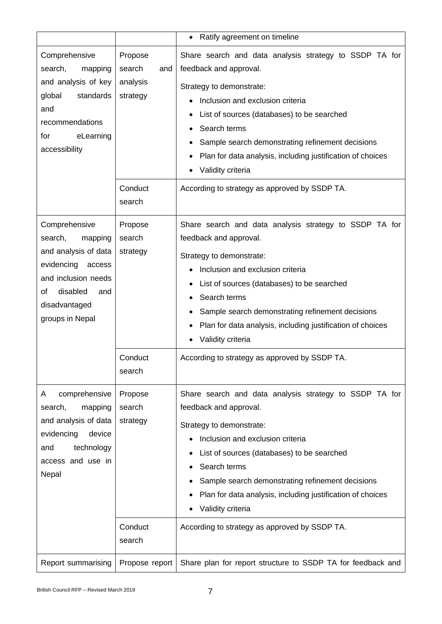|                                                                                                                                                                         |                                                                       | Ratify agreement on timeline<br>$\bullet$                                                                                                                                                                                                                                                                                                                                                                           |
|-------------------------------------------------------------------------------------------------------------------------------------------------------------------------|-----------------------------------------------------------------------|---------------------------------------------------------------------------------------------------------------------------------------------------------------------------------------------------------------------------------------------------------------------------------------------------------------------------------------------------------------------------------------------------------------------|
| Comprehensive<br>search,<br>mapping<br>and analysis of key<br>global<br>standards<br>and<br>recommendations<br>eLearning<br>for<br>accessibility                        | Propose<br>search<br>and<br>analysis<br>strategy<br>Conduct<br>search | Share search and data analysis strategy to SSDP TA for<br>feedback and approval.<br>Strategy to demonstrate:<br>Inclusion and exclusion criteria<br>List of sources (databases) to be searched<br>Search terms<br>Sample search demonstrating refinement decisions<br>Plan for data analysis, including justification of choices<br>$\bullet$<br>Validity criteria<br>According to strategy as approved by SSDP TA. |
| Comprehensive<br>search,<br>mapping<br>and analysis of data<br>evidencing<br>access<br>and inclusion needs<br>disabled<br>οf<br>and<br>disadvantaged<br>groups in Nepal | Propose<br>search<br>strategy<br>Conduct<br>search                    | Share search and data analysis strategy to SSDP TA for<br>feedback and approval.<br>Strategy to demonstrate:<br>Inclusion and exclusion criteria<br>List of sources (databases) to be searched<br>Search terms<br>Sample search demonstrating refinement decisions<br>Plan for data analysis, including justification of choices<br>Validity criteria<br>٠<br>According to strategy as approved by SSDP TA.         |
| comprehensive<br>A<br>search,<br>mapping<br>and analysis of data<br>evidencing<br>device<br>technology<br>and<br>access and use in<br>Nepal                             | Propose<br>search<br>strategy<br>Conduct<br>search                    | Share search and data analysis strategy to SSDP TA for<br>feedback and approval.<br>Strategy to demonstrate:<br>Inclusion and exclusion criteria<br>List of sources (databases) to be searched<br>Search terms<br>Sample search demonstrating refinement decisions<br>Plan for data analysis, including justification of choices<br>Validity criteria<br>٠<br>According to strategy as approved by SSDP TA.         |
| Report summarising                                                                                                                                                      | Propose report                                                        | Share plan for report structure to SSDP TA for feedback and                                                                                                                                                                                                                                                                                                                                                         |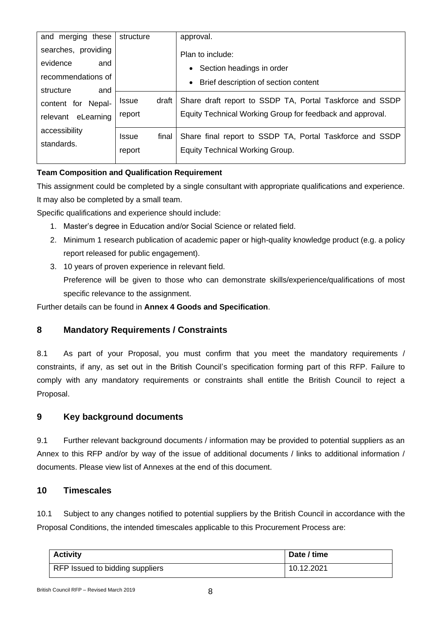| and merging these   | structure             | approval.                                                 |
|---------------------|-----------------------|-----------------------------------------------------------|
| searches, providing |                       | Plan to include:                                          |
| evidence<br>and     |                       | • Section headings in order                               |
| recommendations of  |                       | • Brief description of section content                    |
| structure<br>and    |                       |                                                           |
| content for Nepal-  | <b>Issue</b><br>draft | Share draft report to SSDP TA, Portal Taskforce and SSDP  |
| relevant eLearning  | report                | Equity Technical Working Group for feedback and approval. |
|                     |                       |                                                           |
| accessibility       | final<br><b>Issue</b> | Share final report to SSDP TA, Portal Taskforce and SSDP  |
| standards.          |                       |                                                           |
|                     | report                | <b>Equity Technical Working Group.</b>                    |
|                     |                       |                                                           |

## **Team Composition and Qualification Requirement**

This assignment could be completed by a single consultant with appropriate qualifications and experience. It may also be completed by a small team.

Specific qualifications and experience should include:

- 1. Master's degree in Education and/or Social Science or related field.
- 2. Minimum 1 research publication of academic paper or high-quality knowledge product (e.g. a policy report released for public engagement).
- 3. 10 years of proven experience in relevant field.

Preference will be given to those who can demonstrate skills/experience/qualifications of most specific relevance to the assignment.

Further details can be found in **Annex 4 Goods and Specification**.

## **8 Mandatory Requirements / Constraints**

8.1 As part of your Proposal, you must confirm that you meet the mandatory requirements / constraints, if any, as set out in the British Council's specification forming part of this RFP. Failure to comply with any mandatory requirements or constraints shall entitle the British Council to reject a Proposal.

## **9 Key background documents**

9.1 Further relevant background documents / information may be provided to potential suppliers as an Annex to this RFP and/or by way of the issue of additional documents / links to additional information / documents. Please view list of Annexes at the end of this document.

## **10 Timescales**

10.1 Subject to any changes notified to potential suppliers by the British Council in accordance with the Proposal Conditions, the intended timescales applicable to this Procurement Process are:

| <b>Activity</b>                 | Date / time |
|---------------------------------|-------------|
| RFP Issued to bidding suppliers | 10.12.2021  |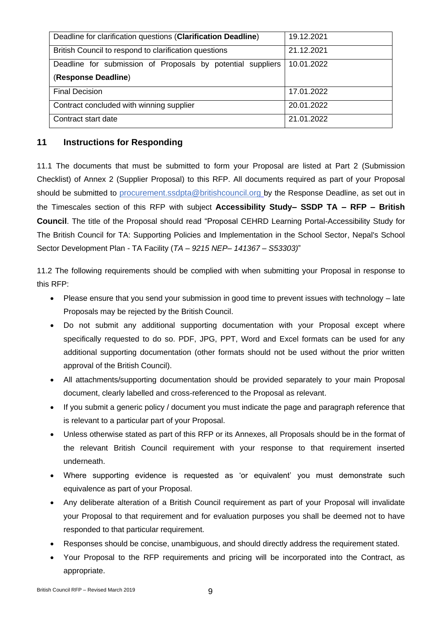| Deadline for clarification questions (Clarification Deadline) | 19.12.2021 |
|---------------------------------------------------------------|------------|
| British Council to respond to clarification questions         | 21.12.2021 |
| Deadline for submission of Proposals by potential suppliers   | 10.01.2022 |
| (Response Deadline)                                           |            |
| <b>Final Decision</b>                                         | 17.01.2022 |
| Contract concluded with winning supplier                      | 20.01.2022 |
| Contract start date                                           | 21.01.2022 |

## **11 Instructions for Responding**

11.1 The documents that must be submitted to form your Proposal are listed at Part 2 (Submission Checklist) of Annex 2 (Supplier Proposal) to this RFP. All documents required as part of your Proposal should be submitted to procurement.ssdpta@britishcouncil.org by the Response Deadline, as set out in the Timescales section of this RFP with subject **Accessibility Study– SSDP TA – RFP – British Council**. The title of the Proposal should read "Proposal CEHRD Learning Portal-Accessibility Study for The British Council for TA: Supporting Policies and Implementation in the School Sector, Nepal's School Sector Development Plan - TA Facility (*TA – 9215 NEP– 141367 – S53303)*"

11.2 The following requirements should be complied with when submitting your Proposal in response to this RFP:

- Please ensure that you send your submission in good time to prevent issues with technology late Proposals may be rejected by the British Council.
- Do not submit any additional supporting documentation with your Proposal except where specifically requested to do so. PDF, JPG, PPT, Word and Excel formats can be used for any additional supporting documentation (other formats should not be used without the prior written approval of the British Council).
- All attachments/supporting documentation should be provided separately to your main Proposal document, clearly labelled and cross-referenced to the Proposal as relevant.
- If you submit a generic policy / document you must indicate the page and paragraph reference that is relevant to a particular part of your Proposal.
- Unless otherwise stated as part of this RFP or its Annexes, all Proposals should be in the format of the relevant British Council requirement with your response to that requirement inserted underneath.
- Where supporting evidence is requested as 'or equivalent' you must demonstrate such equivalence as part of your Proposal.
- Any deliberate alteration of a British Council requirement as part of your Proposal will invalidate your Proposal to that requirement and for evaluation purposes you shall be deemed not to have responded to that particular requirement.
- Responses should be concise, unambiguous, and should directly address the requirement stated.
- Your Proposal to the RFP requirements and pricing will be incorporated into the Contract, as appropriate.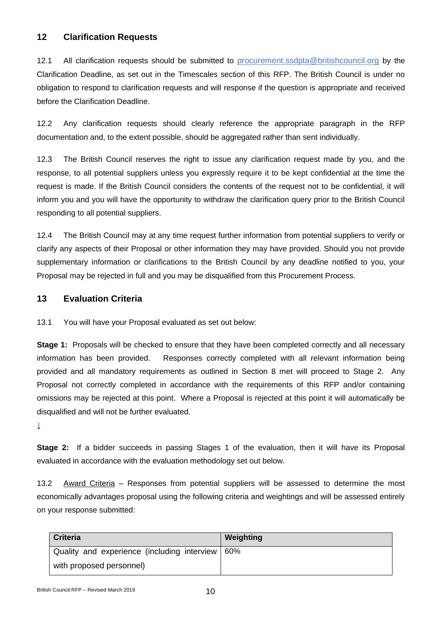## **12 Clarification Requests**

12.1 All clarification requests should be submitted to procurement.ssdpta@britishcouncil.org by the Clarification Deadline, as set out in the Timescales section of this RFP. The British Council is under no obligation to respond to clarification requests and will response if the question is appropriate and received before the Clarification Deadline.

12.2 Any clarification requests should clearly reference the appropriate paragraph in the RFP documentation and, to the extent possible, should be aggregated rather than sent individually.

12.3 The British Council reserves the right to issue any clarification request made by you, and the response, to all potential suppliers unless you expressly require it to be kept confidential at the time the request is made. If the British Council considers the contents of the request not to be confidential, it will inform you and you will have the opportunity to withdraw the clarification query prior to the British Council responding to all potential suppliers.

12.4 The British Council may at any time request further information from potential suppliers to verify or clarify any aspects of their Proposal or other information they may have provided. Should you not provide supplementary information or clarifications to the British Council by any deadline notified to you, your Proposal may be rejected in full and you may be disqualified from this Procurement Process.

## **13 Evaluation Criteria**

13.1 You will have your Proposal evaluated as set out below:

**Stage 1:** Proposals will be checked to ensure that they have been completed correctly and all necessary information has been provided. Responses correctly completed with all relevant information being provided and all mandatory requirements as outlined in Section 8 met will proceed to Stage 2. Any Proposal not correctly completed in accordance with the requirements of this RFP and/or containing omissions may be rejected at this point. Where a Proposal is rejected at this point it will automatically be disqualified and will not be further evaluated.

↓

**Stage 2:** If a bidder succeeds in passing Stages 1 of the evaluation, then it will have its Proposal evaluated in accordance with the evaluation methodology set out below.

13.2 Award Criteria – Responses from potential suppliers will be assessed to determine the most economically advantages proposal using the following criteria and weightings and will be assessed entirely on your response submitted:

| <b>Criteria</b>                             | Weighting |
|---------------------------------------------|-----------|
| Quality and experience (including interview | 60%       |
| with proposed personnel)                    |           |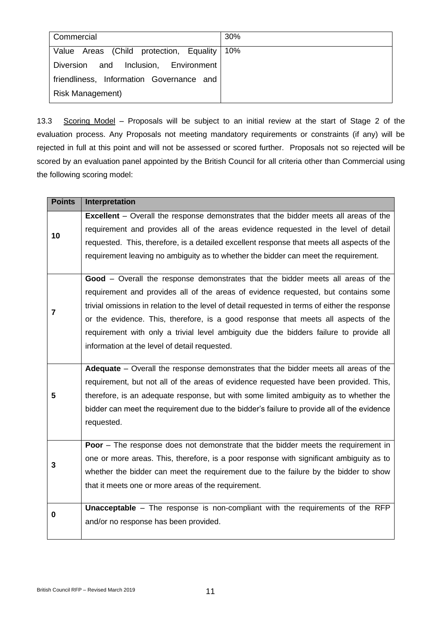| Commercial                                  | 30% |
|---------------------------------------------|-----|
| Value Areas (Child protection, Equality 10% |     |
| and Inclusion, Environment<br>Diversion     |     |
| friendliness, Information Governance and    |     |
| <b>Risk Management)</b>                     |     |

13.3 Scoring Model - Proposals will be subject to an initial review at the start of Stage 2 of the evaluation process. Any Proposals not meeting mandatory requirements or constraints (if any) will be rejected in full at this point and will not be assessed or scored further. Proposals not so rejected will be scored by an evaluation panel appointed by the British Council for all criteria other than Commercial using the following scoring model:

| <b>Points</b> | Interpretation                                                                                 |
|---------------|------------------------------------------------------------------------------------------------|
| 10            | <b>Excellent</b> – Overall the response demonstrates that the bidder meets all areas of the    |
|               | requirement and provides all of the areas evidence requested in the level of detail            |
|               | requested. This, therefore, is a detailed excellent response that meets all aspects of the     |
|               | requirement leaving no ambiguity as to whether the bidder can meet the requirement.            |
|               |                                                                                                |
|               | Good - Overall the response demonstrates that the bidder meets all areas of the                |
|               | requirement and provides all of the areas of evidence requested, but contains some             |
| 7             | trivial omissions in relation to the level of detail requested in terms of either the response |
|               | or the evidence. This, therefore, is a good response that meets all aspects of the             |
|               | requirement with only a trivial level ambiguity due the bidders failure to provide all         |
|               | information at the level of detail requested.                                                  |
|               |                                                                                                |
|               | Adequate – Overall the response demonstrates that the bidder meets all areas of the            |
|               | requirement, but not all of the areas of evidence requested have been provided. This,          |
| 5             | therefore, is an adequate response, but with some limited ambiguity as to whether the          |
|               | bidder can meet the requirement due to the bidder's failure to provide all of the evidence     |
|               | requested.                                                                                     |
|               |                                                                                                |
| 3             | <b>Poor</b> - The response does not demonstrate that the bidder meets the requirement in       |
|               | one or more areas. This, therefore, is a poor response with significant ambiguity as to        |
|               | whether the bidder can meet the requirement due to the failure by the bidder to show           |
|               | that it meets one or more areas of the requirement.                                            |
| 0             |                                                                                                |
|               | <b>Unacceptable</b> - The response is non-compliant with the requirements of the RFP           |
|               | and/or no response has been provided.                                                          |
|               |                                                                                                |